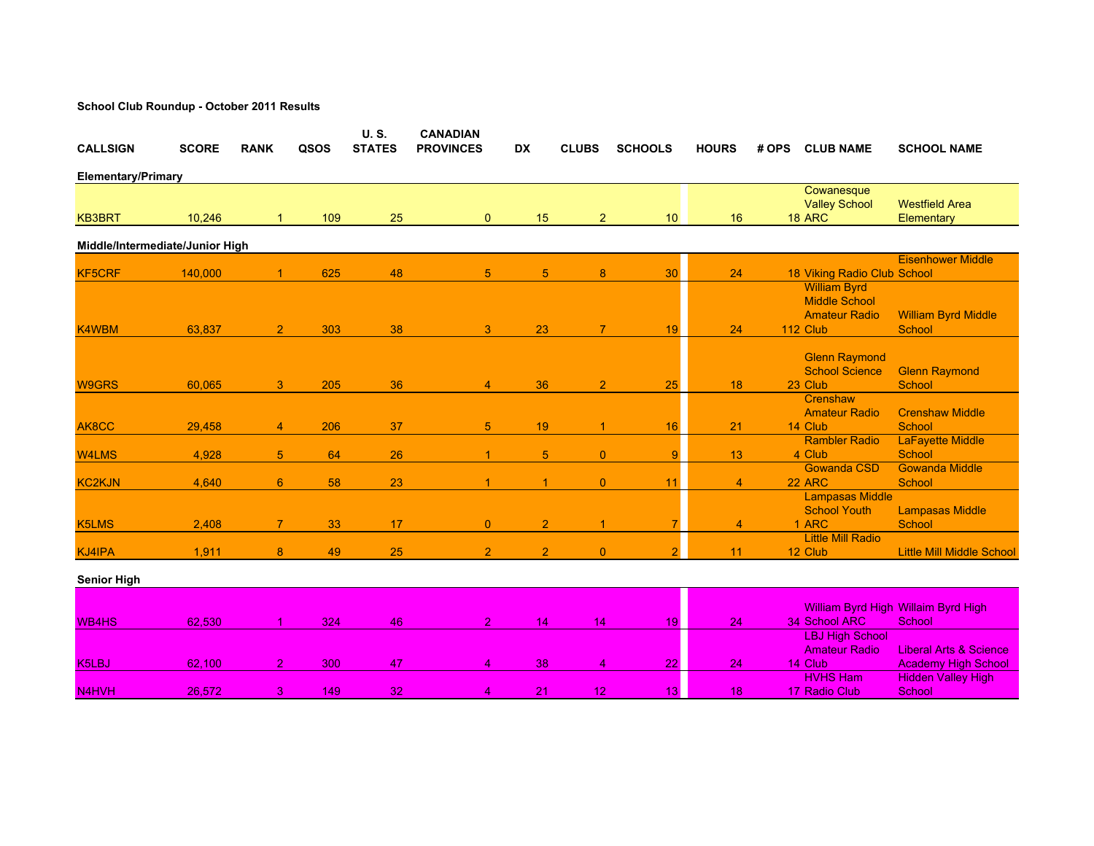| <b>CALLSIGN</b>                 | <b>SCORE</b> | <b>RANK</b>    | QSOS | <b>U.S.</b><br><b>STATES</b> | <b>CANADIAN</b><br><b>PROVINCES</b> | <b>DX</b>       | <b>CLUBS</b>    | <b>SCHOOLS</b>  | <b>HOURS</b>   | # OPS | <b>CLUB NAME</b>                                                                | <b>SCHOOL NAME</b>                                              |
|---------------------------------|--------------|----------------|------|------------------------------|-------------------------------------|-----------------|-----------------|-----------------|----------------|-------|---------------------------------------------------------------------------------|-----------------------------------------------------------------|
| <b>Elementary/Primary</b>       |              |                |      |                              |                                     |                 |                 |                 |                |       |                                                                                 |                                                                 |
| <b>KB3BRT</b>                   | 10,246       | 1              | 109  | 25                           | $\mathbf{0}$                        | 15              | $\overline{2}$  | 10 <sup>1</sup> | 16             |       | Cowanesque<br><b>Valley School</b><br><b>18 ARC</b>                             | <b>Westfield Area</b><br>Elementary                             |
| Middle/Intermediate/Junior High |              |                |      |                              |                                     |                 |                 |                 |                |       |                                                                                 |                                                                 |
| <b>KF5CRF</b>                   | 140,000      | $\mathbf{1}$   | 625  | 48                           | 5                                   | $5\phantom{.0}$ | 8               | 30              | 24             |       | 18 Viking Radio Club School                                                     | <b>Eisenhower Middle</b>                                        |
| K4WBM                           | 63,837       | $\overline{2}$ | 303  | 38                           | 3                                   | 23              | $\overline{7}$  | 19              | 24             |       | <b>William Byrd</b><br><b>Middle School</b><br><b>Amateur Radio</b><br>112 Club | <b>William Byrd Middle</b><br>School                            |
| <b>W9GRS</b>                    | 60,065       | 3              | 205  | 36                           | $\overline{4}$                      | 36              | $\overline{2}$  | 25              | 18             |       | <b>Glenn Raymond</b><br><b>School Science</b><br>23 Club                        | <b>Glenn Raymond</b><br>School                                  |
| AK8CC                           | 29,458       | $\overline{4}$ | 206  | 37                           | 5                                   | 19              |                 | 16              | 21             |       | Crenshaw<br><b>Amateur Radio</b><br>14 Club                                     | <b>Crenshaw Middle</b><br>School                                |
| <b>W4LMS</b>                    | 4,928        | 5 <sup>5</sup> | 64   | 26                           | -1                                  | 5               | $\overline{0}$  | 9 <sup>°</sup>  | 13             |       | <b>Rambler Radio</b><br>4 Club                                                  | LaFayette Middle<br>School                                      |
| <b>KC2KJN</b>                   | 4,640        | $6^{\circ}$    | 58   | 23                           |                                     |                 | $\overline{0}$  | 11              | $\overline{4}$ |       | <b>Gowanda CSD</b><br>22 ARC                                                    | <b>Gowanda Middle</b><br>School                                 |
| K5LMS                           | 2,408        | $\overline{7}$ | 33   | 17                           | $\overline{0}$                      | $\overline{2}$  | 1               | $\overline{7}$  | $\overline{4}$ |       | <b>Lampasas Middle</b><br><b>School Youth</b><br>1 ARC                          | <b>Lampasas Middle</b><br>School                                |
| KJ4IPA                          | 1,911        | 8              | 49   | 25                           | $\overline{2}$                      | $\overline{2}$  | $\Omega$        |                 | 11             |       | <b>Little Mill Radio</b><br>12 Club                                             | <b>Little Mill Middle School</b>                                |
| <b>Senior High</b>              |              |                |      |                              |                                     |                 |                 |                 |                |       |                                                                                 |                                                                 |
| <b>WB4HS</b>                    | 62,530       | 1              | 324  | 46                           | $\overline{2}$                      | 14              | 14              | 19              | 24             |       | 34 School ARC                                                                   | <b>William Byrd High Willaim Byrd High</b><br>School            |
| K5LBJ                           | 62,100       | $\overline{2}$ | 300  | 47                           | $\overline{4}$                      | 38              | $\overline{4}$  | 22              | 24             |       | <b>LBJ High School</b><br><b>Amateur Radio</b><br>14 Club                       | <b>Liberal Arts &amp; Science</b><br><b>Academy High School</b> |
| N <sub>4</sub> H <sub>V</sub> H | 26,572       | 3              | 149  | 32                           | $\overline{4}$                      | 21              | 12 <sup>°</sup> | 13 <sup>1</sup> | 18             |       | <b>HVHS Ham</b><br>17 Radio Club                                                | <b>Hidden Valley High</b><br>School                             |

**School Club Roundup - October 2011 Results**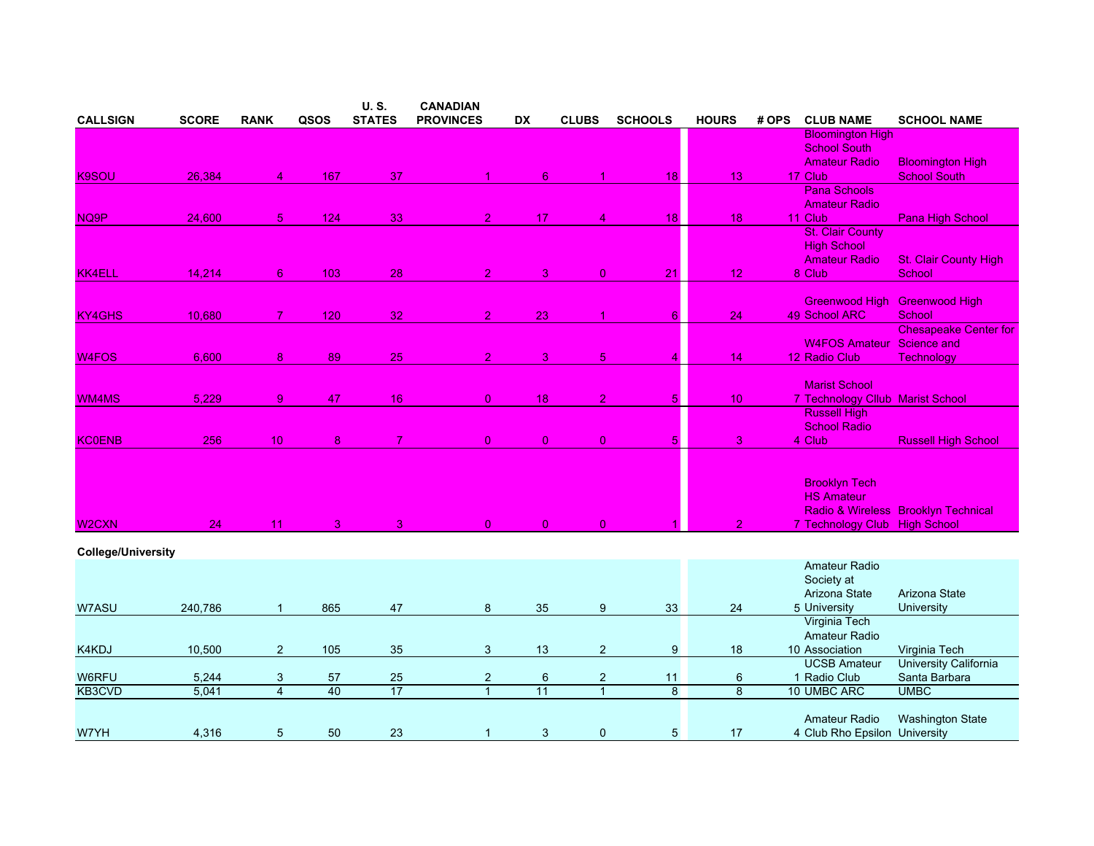|                           |              |                 |                | U.S.           | <b>CANADIAN</b>  |                 |                |                |                 |       |                                  |                                     |
|---------------------------|--------------|-----------------|----------------|----------------|------------------|-----------------|----------------|----------------|-----------------|-------|----------------------------------|-------------------------------------|
| <b>CALLSIGN</b>           | <b>SCORE</b> | <b>RANK</b>     | QSOS           | <b>STATES</b>  | <b>PROVINCES</b> | <b>DX</b>       | <b>CLUBS</b>   | <b>SCHOOLS</b> | <b>HOURS</b>    | # OPS | <b>CLUB NAME</b>                 | <b>SCHOOL NAME</b>                  |
|                           |              |                 |                |                |                  |                 |                |                |                 |       | <b>Bloomington High</b>          |                                     |
|                           |              |                 |                |                |                  |                 |                |                |                 |       | <b>School South</b>              |                                     |
|                           |              |                 |                |                |                  |                 |                |                |                 |       | <b>Amateur Radio</b>             | <b>Bloomington High</b>             |
| <b>K9SOU</b>              | 26,384       | $\overline{4}$  | 167            | 37             |                  | $6^{\circ}$     | 1              | 18             | 13              |       | 17 Club                          | <b>School South</b>                 |
|                           |              |                 |                |                |                  |                 |                |                |                 |       | <b>Pana Schools</b>              |                                     |
|                           |              |                 |                |                |                  |                 |                |                |                 |       | <b>Amateur Radio</b>             |                                     |
| NQ9P                      | 24,600       | 5 <sub>5</sub>  | 124            | 33             | 2 <sup>1</sup>   | 17              | 4              | 18             | 18              |       | 11 Club                          | Pana High School                    |
|                           |              |                 |                |                |                  |                 |                |                |                 |       | <b>St. Clair County</b>          |                                     |
|                           |              |                 |                |                |                  |                 |                |                |                 |       | <b>High School</b>               |                                     |
|                           |              |                 |                |                |                  |                 |                |                |                 |       | <b>Amateur Radio</b>             | <b>St. Clair County High</b>        |
| <b>KK4ELL</b>             | 14,214       | 6 <sup>1</sup>  | 103            | 28             | 2 <sup>1</sup>   | 3 <sup>1</sup>  | $\overline{0}$ | 21             | 12              |       | 8 Club                           | School                              |
|                           |              |                 |                |                |                  |                 |                |                |                 |       |                                  |                                     |
|                           |              |                 |                |                |                  |                 |                |                |                 |       | Greenwood High                   | <b>Greenwood High</b>               |
| <b>KY4GHS</b>             | 10,680       | $\overline{7}$  | 120            | 32             | 2 <sup>1</sup>   | 23              |                | 6 <sup>1</sup> | 24              |       | 49 School ARC                    | School                              |
|                           |              |                 |                |                |                  |                 |                |                |                 |       |                                  | <b>Chesapeake Center for</b>        |
|                           |              |                 |                |                |                  |                 |                |                |                 |       | <b>W4FOS Amateur</b>             | Science and                         |
| W <sub>4FOS</sub>         | 6,600        | 8               | 89             | 25             | $\overline{2}$   | 3               | 5              | 4              | 14              |       | 12 Radio Club                    | <b>Technology</b>                   |
|                           |              |                 |                |                |                  |                 |                |                |                 |       | <b>Marist School</b>             |                                     |
| WM4MS                     | 5,229        | 9 <sup>°</sup>  | 47             | 16             | $\overline{0}$   | 18 <sup>°</sup> | $\overline{2}$ | 5 <sup>1</sup> | 10 <sub>1</sub> |       | 7 Technology Cllub Marist School |                                     |
|                           |              |                 |                |                |                  |                 |                |                |                 |       | <b>Russell High</b>              |                                     |
|                           |              |                 |                |                |                  |                 |                |                |                 |       | <b>School Radio</b>              |                                     |
| <b>KC0ENB</b>             | 256          | 10 <sup>°</sup> | 8              | 7 <sup>1</sup> | $\overline{0}$   | $\overline{0}$  | $\overline{0}$ | 5 <sup>1</sup> | 3               |       | 4 Club                           | <b>Russell High School</b>          |
|                           |              |                 |                |                |                  |                 |                |                |                 |       |                                  |                                     |
|                           |              |                 |                |                |                  |                 |                |                |                 |       |                                  |                                     |
|                           |              |                 |                |                |                  |                 |                |                |                 |       | <b>Brooklyn Tech</b>             |                                     |
|                           |              |                 |                |                |                  |                 |                |                |                 |       | <b>HS Amateur</b>                |                                     |
|                           |              |                 |                |                |                  |                 |                |                |                 |       |                                  | Radio & Wireless Brooklyn Technical |
| W <sub>2</sub> CXN        | 24           | 11              | 3 <sup>1</sup> | 3              | $\overline{0}$   | $\overline{0}$  | $\overline{0}$ |                | $\overline{2}$  |       | 7 Technology Club High School    |                                     |
|                           |              |                 |                |                |                  |                 |                |                |                 |       |                                  |                                     |
| <b>College/University</b> |              |                 |                |                |                  |                 |                |                |                 |       |                                  |                                     |
|                           |              |                 |                |                |                  |                 |                |                |                 |       | Amateur Radio                    |                                     |
|                           |              |                 |                |                |                  |                 |                |                |                 |       | Society at                       |                                     |
|                           |              |                 |                |                |                  |                 |                |                |                 |       | Arizona State                    | Arizona State                       |
| W7ASU                     | 240,786      | $\mathbf{1}$    | 865            | 47             | 8                | 35              | 9              | 33             | 24              |       | 5 University                     | <b>University</b>                   |
|                           |              |                 |                |                |                  |                 |                |                |                 |       | Virginia Tech                    |                                     |
|                           |              |                 |                |                |                  |                 |                |                |                 |       | <b>Amateur Radio</b>             |                                     |
| K4KDJ                     | 10,500       | $\overline{2}$  | 105            | 35             | 3                | 13              | $\overline{2}$ | 9              | 18              |       | 10 Association                   | Virginia Tech                       |
|                           |              |                 |                |                |                  |                 |                |                |                 |       | <b>UCSB Amateur</b>              | <b>University California</b>        |
| W6RFU                     | 5,244        | $\sqrt{3}$      | 57             | 25             | $\overline{2}$   | $\,6\,$         | $\overline{c}$ | 11             | $6\phantom{1}6$ |       | 1 Radio Club                     | Santa Barbara                       |
| KB3CVD                    | 5,041        | $\overline{4}$  | 40             | 17             | $\overline{1}$   | $\overline{11}$ | $\mathbf{1}$   | $\overline{8}$ | $\overline{8}$  |       | 10 UMBC ARC                      | <b>UMBC</b>                         |
|                           |              |                 |                |                |                  |                 |                |                |                 |       |                                  |                                     |
|                           |              |                 |                |                |                  |                 |                |                |                 |       | Amateur Radio                    | <b>Washington State</b>             |
| W7YH                      | 4,316        | 5               | 50             | 23             | 1                | 3               | $\mathbf 0$    | 5 <sub>5</sub> | 17              |       | 4 Club Rho Epsilon University    |                                     |